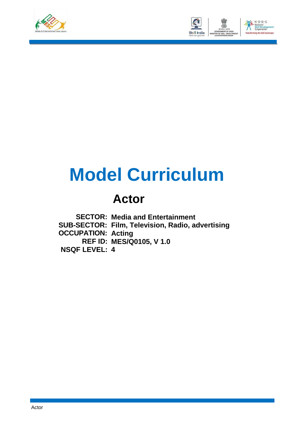



# **Model Curriculum**

# **Actor**

**SECTOR: Media and Entertainment SUB-SECTOR: Film, Television, Radio, advertising OCCUPATION: Acting REF ID: MES/Q0105, V 1.0 NSQF LEVEL: 4**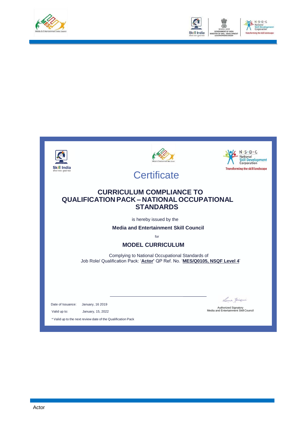









**Certificate** 

### **CURRICULUM COMPLIANCE TO QUALIFICATION PACK – NATIONAL OCCUPATIONAL STANDARDS**

is hereby issued by the

**Media and Entertainment Skill Council**

for

#### **MODEL CURRICULUM**

Complying to National Occupational Standards of Job Role/ Qualification Pack: '**Actor'** QP Ref. No. '**MES/Q0105, NSQF Level 4**'

Date of Issuance: January, 16 2019

Valid up to: January, 15, 2022

Lema Jaisani

Authorized Signatory Media and Entertainment SkillCouncil

\* Valid up to the next review date of the Qualification Pack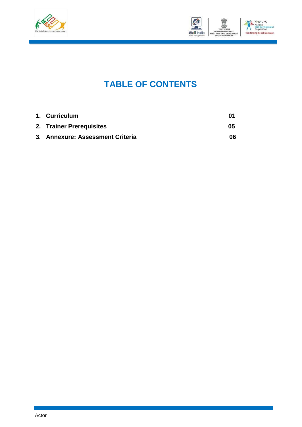



## **TABLE OF CONTENTS**

| 1. Curriculum                    | M1 |
|----------------------------------|----|
| 2. Trainer Prerequisites         | 05 |
| 3. Annexure: Assessment Criteria | 06 |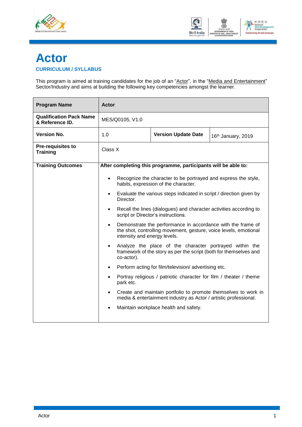



### <span id="page-3-0"></span>**Actor CURRICULUM / SYLLABUS**

This program is aimed at training candidates for the job of an "<u>Actor</u>", in the "<u>Media and Entertainment</u>" Sector/Industry and aims at building the following key competencies amongst the learner.

| <b>Program Name</b>                               | Actor                                                                                                                                                                        |  |                                                                |  |  |
|---------------------------------------------------|------------------------------------------------------------------------------------------------------------------------------------------------------------------------------|--|----------------------------------------------------------------|--|--|
| <b>Qualification Pack Name</b><br>& Reference ID. | MES/Q0105, V1.0                                                                                                                                                              |  |                                                                |  |  |
| <b>Version No.</b>                                | 1.0<br><b>Version Update Date</b><br>16th January, 2019                                                                                                                      |  |                                                                |  |  |
| <b>Pre-requisites to</b><br><b>Training</b>       | Class X                                                                                                                                                                      |  |                                                                |  |  |
| <b>Training Outcomes</b>                          |                                                                                                                                                                              |  | After completing this programme, participants will be able to: |  |  |
|                                                   | Recognize the character to be portrayed and express the style,<br>$\bullet$<br>habits, expression of the character.                                                          |  |                                                                |  |  |
|                                                   | Evaluate the various steps indicated in script / direction given by<br>$\bullet$<br>Director.                                                                                |  |                                                                |  |  |
|                                                   | Recall the lines (dialogues) and character activities according to<br>$\bullet$<br>script or Director's instructions.                                                        |  |                                                                |  |  |
|                                                   | Demonstrate the performance in accordance with the frame of<br>$\bullet$<br>the shot, controlling movement, gesture, voice levels, emotional<br>intensity and energy levels. |  |                                                                |  |  |
|                                                   | Analyze the place of the character portrayed within the<br>framework of the story as per the script (both for themselves and<br>co-actor).                                   |  |                                                                |  |  |
|                                                   | $\bullet$                                                                                                                                                                    |  | Perform acting for film/television/advertising etc.            |  |  |
|                                                   | Portray religious / patriotic character for film / theater / theme<br>$\bullet$<br>park etc.                                                                                 |  |                                                                |  |  |
|                                                   | Create and maintain portfolio to promote themselves to work in<br>$\bullet$<br>media & entertainment industry as Actor / artistic professional.                              |  |                                                                |  |  |
|                                                   | $\bullet$                                                                                                                                                                    |  | Maintain workplace health and safety.                          |  |  |
|                                                   |                                                                                                                                                                              |  |                                                                |  |  |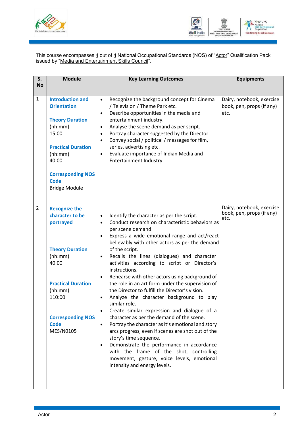



This course encompasses <u>4</u> out of <u>4</u> National Occupational Standards (NOS) of "<u>Actor</u>" Qualification Pack issued by "Media and Entertainment Skills Council".

| S.             | <b>Module</b>                                                                                                                                                                                                   | <b>Key Learning Outcomes</b>                                                                                                                                                                                                                                                                                                                                                                                                                                                                                                                                                                                                                                                                                                                                                                                                                                                                                                                                                                                                                                                                          | <b>Equipments</b>                                              |
|----------------|-----------------------------------------------------------------------------------------------------------------------------------------------------------------------------------------------------------------|-------------------------------------------------------------------------------------------------------------------------------------------------------------------------------------------------------------------------------------------------------------------------------------------------------------------------------------------------------------------------------------------------------------------------------------------------------------------------------------------------------------------------------------------------------------------------------------------------------------------------------------------------------------------------------------------------------------------------------------------------------------------------------------------------------------------------------------------------------------------------------------------------------------------------------------------------------------------------------------------------------------------------------------------------------------------------------------------------------|----------------------------------------------------------------|
| <b>No</b>      |                                                                                                                                                                                                                 |                                                                                                                                                                                                                                                                                                                                                                                                                                                                                                                                                                                                                                                                                                                                                                                                                                                                                                                                                                                                                                                                                                       |                                                                |
| $\mathbf{1}$   | <b>Introduction and</b><br><b>Orientation</b><br><b>Theory Duration</b><br>(hh:mm)<br>15:00<br><b>Practical Duration</b><br>(hh:mm)<br>40:00<br><b>Corresponding NOS</b><br><b>Code</b><br><b>Bridge Module</b> | Recognize the background concept for Cinema<br>$\bullet$<br>/ Television / Theme Park etc.<br>Describe opportunities in the media and<br>$\bullet$<br>entertainment industry.<br>Analyse the scene demand as per script.<br>$\bullet$<br>Portray character suggested by the Director.<br>$\bullet$<br>Convey social / political / messages for film,<br>$\bullet$<br>series, advertising etc.<br>Evaluate importance of Indian Media and<br>$\bullet$<br>Entertainment Industry.                                                                                                                                                                                                                                                                                                                                                                                                                                                                                                                                                                                                                      | Dairy, notebook, exercise<br>book, pen, props (if any)<br>etc. |
| $\overline{2}$ | <b>Recognize the</b><br>character to be<br>portrayed<br><b>Theory Duration</b><br>(hh:mm)<br>40:00<br><b>Practical Duration</b><br>(hh:mm)<br>110:00<br><b>Corresponding NOS</b><br><b>Code</b><br>MES/N0105    | Identify the character as per the script.<br>$\bullet$<br>Conduct research on characteristic behaviors as<br>$\bullet$<br>per scene demand.<br>Express a wide emotional range and act/react<br>$\bullet$<br>believably with other actors as per the demand<br>of the script.<br>Recalls the lines (dialogues) and character<br>$\bullet$<br>activities according to script or Director's<br>instructions.<br>Rehearse with other actors using background of<br>$\bullet$<br>the role in an art form under the supervision of<br>the Director to fulfill the Director's vision.<br>Analyze the character background to play<br>$\bullet$<br>similar role.<br>Create similar expression and dialogue of a<br>$\bullet$<br>character as per the demand of the scene.<br>Portray the character as it's emotional and story<br>$\bullet$<br>arcs progress, even if scenes are shot out of the<br>story's time sequence.<br>Demonstrate the performance in accordance<br>$\bullet$<br>with the frame of the shot, controlling<br>movement, gesture, voice levels, emotional<br>intensity and energy levels. | Dairy, notebook, exercise<br>book, pen, props (if any)<br>etc. |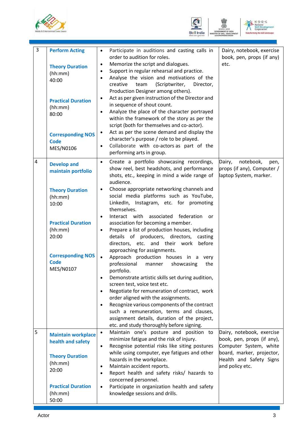





| 3                       | <b>Perform Acting</b><br><b>Theory Duration</b><br>(hh:mm)<br>40:00<br><b>Practical Duration</b><br>(hh:mm)<br>80:00<br><b>Corresponding NOS</b><br><b>Code</b><br>MES/N0106 | Participate in auditions and casting calls in<br>$\bullet$<br>order to audition for roles.<br>Memorize the script and dialogues.<br>$\bullet$<br>Support in regular rehearsal and practice.<br>$\bullet$<br>Analyse the vision and motivations of the<br>$\bullet$<br>creative<br>(Scriptwriter,<br>Director,<br>team<br>Production Designer among others).<br>Act as per given instruction of the Director and<br>$\bullet$<br>in sequence of shout count.<br>Analyze the place of the character portrayed<br>$\bullet$<br>within the framework of the story as per the<br>script (both for themselves and co-actor).<br>Act as per the scene demand and display the<br>$\bullet$<br>character's purpose / role to be played.<br>Collaborate with co-actors as part of the<br>$\bullet$ | Dairy, notebook, exercise<br>book, pen, props (if any)<br>etc.                                                 |
|-------------------------|------------------------------------------------------------------------------------------------------------------------------------------------------------------------------|------------------------------------------------------------------------------------------------------------------------------------------------------------------------------------------------------------------------------------------------------------------------------------------------------------------------------------------------------------------------------------------------------------------------------------------------------------------------------------------------------------------------------------------------------------------------------------------------------------------------------------------------------------------------------------------------------------------------------------------------------------------------------------------|----------------------------------------------------------------------------------------------------------------|
| $\overline{\mathbf{4}}$ | <b>Develop and</b><br>maintain portfolio<br><b>Theory Duration</b>                                                                                                           | performing arts in group.<br>Create a portfolio showcasing recordings,<br>$\bullet$<br>show reel, best headshots, and performance<br>shots, etc., keeping in mind a wide range of<br>audience.<br>Choose appropriate networking channels and<br>$\bullet$                                                                                                                                                                                                                                                                                                                                                                                                                                                                                                                                | notebook,<br>Dairy,<br>pen,<br>props (if any), Computer /<br>laptop System, marker.                            |
|                         | (hh:mm)<br>10:00                                                                                                                                                             | social media platforms such as YouTube,<br>LinkedIn, Instagram, etc. for promoting<br>themselves.<br>Interact with<br>associated<br>federation<br>or<br>$\bullet$                                                                                                                                                                                                                                                                                                                                                                                                                                                                                                                                                                                                                        |                                                                                                                |
|                         | <b>Practical Duration</b><br>(hh:mm)<br>20:00                                                                                                                                | association for becoming a member.<br>Prepare a list of production houses, including<br>$\bullet$<br>details of producers, directors,<br>casting<br>directors, etc. and their work<br>before<br>approaching for assignments.                                                                                                                                                                                                                                                                                                                                                                                                                                                                                                                                                             |                                                                                                                |
|                         | <b>Corresponding NOS</b><br><b>Code</b><br>MES/N0107                                                                                                                         | Approach production houses in a very<br>$\bullet$<br>professional<br>showcasing<br>the<br>manner<br>portfolio.<br>Demonstrate artistic skills set during audition,<br>$\bullet$<br>screen test, voice test etc.<br>Negotiate for remuneration of contract, work<br>$\bullet$                                                                                                                                                                                                                                                                                                                                                                                                                                                                                                             |                                                                                                                |
|                         |                                                                                                                                                                              | order aligned with the assignments.<br>Recognize various components of the contract<br>$\bullet$<br>such a remuneration, terms and clauses,<br>assignment details, duration of the project,<br>etc. and study thoroughly before signing.                                                                                                                                                                                                                                                                                                                                                                                                                                                                                                                                                 |                                                                                                                |
| 5                       | <b>Maintain workplace</b><br>health and safety                                                                                                                               | Maintain one's posture and position to<br>$\bullet$<br>minimize fatigue and the risk of injury.<br>Recognise potential risks like siting postures<br>$\bullet$<br>while using computer, eye fatigues and other                                                                                                                                                                                                                                                                                                                                                                                                                                                                                                                                                                           | Dairy, notebook, exercise<br>book, pen, props (if any),<br>Computer System, white<br>board, marker, projector, |
|                         | <b>Theory Duration</b><br>(hh:mm)<br>20:00                                                                                                                                   | hazards in the workplace.<br>Maintain accident reports.<br>$\bullet$<br>Report health and safety risks/ hazards to<br>$\bullet$<br>concerned personnel.                                                                                                                                                                                                                                                                                                                                                                                                                                                                                                                                                                                                                                  | Health and Safety Signs<br>and policy etc.                                                                     |
|                         | <b>Practical Duration</b><br>(hh:mm)<br>50:00                                                                                                                                | Participate in organization health and safety<br>$\bullet$<br>knowledge sessions and drills.                                                                                                                                                                                                                                                                                                                                                                                                                                                                                                                                                                                                                                                                                             |                                                                                                                |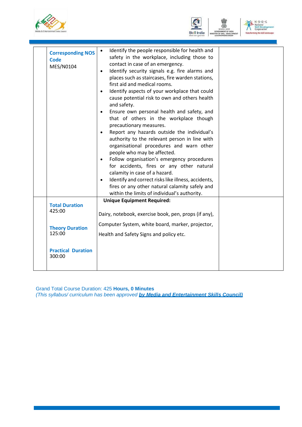





| <b>Corresponding NOS</b><br><b>Code</b><br>MES/N0104 | Identify the people responsible for health and<br>$\bullet$<br>safety in the workplace, including those to<br>contact in case of an emergency.<br>Identify security signals e.g. fire alarms and<br>$\bullet$<br>places such as staircases, fire warden stations,<br>first aid and medical rooms.<br>Identify aspects of your workplace that could<br>$\bullet$<br>cause potential risk to own and others health<br>and safety.<br>Ensure own personal health and safety, and<br>$\bullet$<br>that of others in the workplace though<br>precautionary measures.<br>Report any hazards outside the individual's<br>$\bullet$<br>authority to the relevant person in line with<br>organisational procedures and warn other<br>people who may be affected.<br>Follow organisation's emergency procedures<br>$\bullet$<br>for accidents, fires or any other natural<br>calamity in case of a hazard.<br>Identify and correct risks like illness, accidents,<br>fires or any other natural calamity safely and<br>within the limits of individual's authority. |  |
|------------------------------------------------------|-----------------------------------------------------------------------------------------------------------------------------------------------------------------------------------------------------------------------------------------------------------------------------------------------------------------------------------------------------------------------------------------------------------------------------------------------------------------------------------------------------------------------------------------------------------------------------------------------------------------------------------------------------------------------------------------------------------------------------------------------------------------------------------------------------------------------------------------------------------------------------------------------------------------------------------------------------------------------------------------------------------------------------------------------------------|--|
| <b>Total Duration</b><br>425:00                      | <b>Unique Equipment Required:</b><br>Dairy, notebook, exercise book, pen, props (if any),                                                                                                                                                                                                                                                                                                                                                                                                                                                                                                                                                                                                                                                                                                                                                                                                                                                                                                                                                                 |  |
| <b>Theory Duration</b><br>125:00                     | Computer System, white board, marker, projector,<br>Health and Safety Signs and policy etc.                                                                                                                                                                                                                                                                                                                                                                                                                                                                                                                                                                                                                                                                                                                                                                                                                                                                                                                                                               |  |
| <b>Practical Duration</b><br>300:00                  |                                                                                                                                                                                                                                                                                                                                                                                                                                                                                                                                                                                                                                                                                                                                                                                                                                                                                                                                                                                                                                                           |  |
|                                                      |                                                                                                                                                                                                                                                                                                                                                                                                                                                                                                                                                                                                                                                                                                                                                                                                                                                                                                                                                                                                                                                           |  |

Grand Total Course Duration: 425 **Hours, 0 Minutes** *(This syllabus/ curriculum has been approved by Media and Entertainment Skills Council)*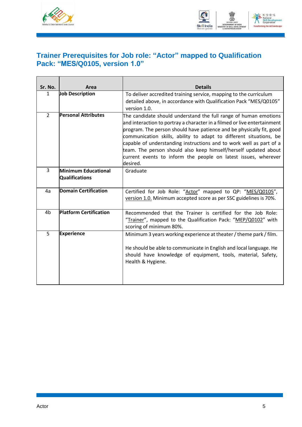



### <span id="page-7-0"></span>**Trainer Prerequisites for Job role: "Actor" mapped to Qualification Pack: "MES/Q0105, version 1.0"**

| Sr. No.        | Area                                                | <b>Details</b>                                                                                                                                                                                                                                                                                                                                                                                                                                                                                                      |  |  |  |
|----------------|-----------------------------------------------------|---------------------------------------------------------------------------------------------------------------------------------------------------------------------------------------------------------------------------------------------------------------------------------------------------------------------------------------------------------------------------------------------------------------------------------------------------------------------------------------------------------------------|--|--|--|
| $\mathbf{1}$   | <b>Job Description</b>                              | To deliver accredited training service, mapping to the curriculum<br>detailed above, in accordance with Qualification Pack "MES/Q0105"<br>version 1.0.                                                                                                                                                                                                                                                                                                                                                              |  |  |  |
| $\overline{2}$ | <b>Personal Attributes</b>                          | The candidate should understand the full range of human emotions<br>and interaction to portray a character in a filmed or live entertainment<br>program. The person should have patience and be physically fit, good<br>communication skills, ability to adapt to different situations, be<br>capable of understanding instructions and to work well as part of a<br>team. The person should also keep himself/herself updated about<br>current events to inform the people on latest issues, wherever<br>ldesired. |  |  |  |
| 3              | <b>Minimum Educational</b><br><b>Qualifications</b> | Graduate                                                                                                                                                                                                                                                                                                                                                                                                                                                                                                            |  |  |  |
| 4a             | <b>Domain Certification</b>                         | Certified for Job Role: "Actor" mapped to QP: "MES/Q0105",<br>version 1.0. Minimum accepted score as per SSC guidelines is 70%.                                                                                                                                                                                                                                                                                                                                                                                     |  |  |  |
| 4 <sub>b</sub> | <b>Platform Certification</b>                       | Recommended that the Trainer is certified for the Job Role:<br>"Trainer", mapped to the Qualification Pack: "MEP/Q0102" with<br>scoring of minimum 80%.                                                                                                                                                                                                                                                                                                                                                             |  |  |  |
| $\overline{5}$ | <b>Experience</b>                                   | Minimum 3 years working experience at theater / theme park / film.<br>He should be able to communicate in English and local language. He<br>should have knowledge of equipment, tools, material, Safety,<br>Health & Hygiene.                                                                                                                                                                                                                                                                                       |  |  |  |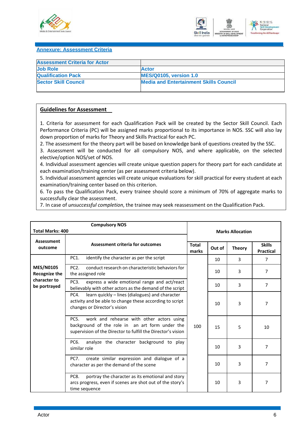



#### <span id="page-8-0"></span>**Annexure: Assessment Criteria**

| <b>Assessment Criteria for Actor</b> |                                               |
|--------------------------------------|-----------------------------------------------|
| <b>Job Role</b>                      | <b>Actor</b>                                  |
| <b>Qualification Pack</b>            | <b>MES/Q0105, version 1.0</b>                 |
| <b>Sector Skill Council</b>          | <b>Media and Entertainment Skills Council</b> |
|                                      |                                               |

#### **Guidelines for Assessment**

1. Criteria for assessment for each Qualification Pack will be created by the Sector Skill Council. Each Performance Criteria (PC) will be assigned marks proportional to its importance in NOS. SSC will also lay down proportion of marks for Theory and Skills Practical for each PC.

2. The assessment for the theory part will be based on knowledge bank of questions created by the SSC.

3. Assessment will be conducted for all compulsory NOS, and where applicable, on the selected elective/option NOS/set of NOS.

4. Individual assessment agencies will create unique question papers for theory part for each candidate at each examination/training center (as per assessment criteria below).

5. Individual assessment agencies will create unique evaluations for skill practical for every student at each examination/training center based on this criterion.

6. To pass the Qualification Pack, every trainee should score a minimum of 70% of aggregate marks to successfully clear the assessment.

7. In case of *unsuccessful completion*, the trainee may seek reassessment on the Qualification Pack.

| <b>Compulsory NOS</b><br><b>Total Marks: 400</b> |                                                                                                                                                                                   |                       | <b>Marks Allocation</b> |               |                                   |  |
|--------------------------------------------------|-----------------------------------------------------------------------------------------------------------------------------------------------------------------------------------|-----------------------|-------------------------|---------------|-----------------------------------|--|
| Assessment<br>outcome                            | <b>Assessment criteria for outcomes</b>                                                                                                                                           | <b>Total</b><br>marks | Out of                  | <b>Theory</b> | <b>Skills</b><br><b>Practical</b> |  |
|                                                  | PC1.<br>identify the character as per the script                                                                                                                                  |                       | 10                      | 3             | $\overline{7}$                    |  |
| <b>MES/N0105</b><br><b>Recognize the</b>         | PC <sub>2</sub> .<br>conduct research on characteristic behaviors for<br>the assigned role                                                                                        |                       | 10                      | 3             | 7                                 |  |
| character to<br>be portrayed                     | PC3.<br>express a wide emotional range and act/react<br>believably with other actors as the demand of the script                                                                  |                       | 10                      | 3             | 7                                 |  |
|                                                  | learn quickly - lines (dialogues) and character<br>PC4.<br>activity and be able to change these according to script<br>changes or Director's vision                               |                       | 10                      | 3             | 7                                 |  |
|                                                  | PC <sub>5</sub> .<br>work and rehearse with other actors using<br>background of the role in an art form under the<br>supervision of the Director to fulfill the Director's vision | 100                   | 15                      | 5             | 10                                |  |
|                                                  | PC6.<br>analyze the character background to play<br>similar role                                                                                                                  |                       | 10                      | 3             | 7                                 |  |
|                                                  | create similar expression and dialogue of a<br><b>PC7.</b><br>character as per the demand of the scene                                                                            |                       | 10                      | 3             | 7                                 |  |
|                                                  | portray the character as its emotional and story<br>PC8.<br>arcs progress, even if scenes are shot out of the story's<br>time sequence                                            |                       | 10                      | 3             | $\overline{7}$                    |  |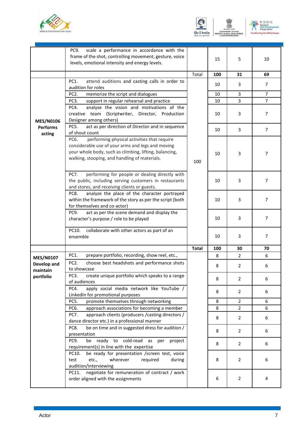



 $\begin{picture}(120,140)(-8.4) \put(0,0){\line(1,0){15}} \put(15,0){\line(1,0){15}} \put(15,0){\line(1,0){15}} \put(15,0){\line(1,0){15}} \put(15,0){\line(1,0){15}} \put(15,0){\line(1,0){15}} \put(15,0){\line(1,0){15}} \put(15,0){\line(1,0){15}} \put(15,0){\line(1,0){15}} \put(15,0){\line(1,0){15}} \put(15,0){\line(1,0){15}} \put(15$ 

|                           | scale a performance in accordance with the<br>PC9.<br>frame of the shot, controlling movement, gesture, voice<br>levels, emotional intensity and energy levels.                                                     |              | 15  | 5              | 10             |
|---------------------------|---------------------------------------------------------------------------------------------------------------------------------------------------------------------------------------------------------------------|--------------|-----|----------------|----------------|
|                           |                                                                                                                                                                                                                     | Total        | 100 | 31             | 69             |
|                           | attend auditions and casting calls in order to<br>PC1.<br>audition for roles                                                                                                                                        |              | 10  | 3              | 7              |
|                           | PC <sub>2</sub> .<br>memorize the script and dialogues                                                                                                                                                              |              | 10  | 3              | 7              |
|                           | PC3.<br>support in regular rehearsal and practice                                                                                                                                                                   |              | 10  | 3              | $\overline{7}$ |
| <b>MES/N0106</b>          | analyse the vision and motivations of the<br>PC4.<br>creative team (Scriptwriter, Director, Production<br>Designer among others)                                                                                    |              | 10  | 3              | $\overline{7}$ |
| <b>Performs</b><br>acting | act as per direction of Director and in sequence<br>PC5.<br>of shout count                                                                                                                                          |              | 10  | 3              | $\overline{7}$ |
|                           | performing physical activities that require<br>PC6.<br>considerable use of your arms and legs and moving<br>your whole body, such as climbing, lifting, balancing,<br>walking, stooping, and handling of materials. | 100          | 10  | 3              | 7              |
|                           | PC7.<br>performing for people or dealing directly with<br>the public, including serving customers in restaurants<br>and stores, and receiving clients or guests.                                                    |              | 10  | 3              | 7              |
|                           | analyze the place of the character portrayed<br>PC8.<br>within the framework of the story as per the script (both<br>for themselves and co-actor)                                                                   |              | 10  | 3              | 7              |
|                           | act as per the scene demand and display the<br>PC9.<br>character's purpose / role to be played                                                                                                                      |              | 10  | 3              | $\overline{7}$ |
|                           | PC10.<br>collaborate with other actors as part of an<br>ensemble                                                                                                                                                    |              | 10  | 3              | 7              |
|                           |                                                                                                                                                                                                                     | <b>Total</b> | 100 | 30             | 70             |
| <b>MES/N0107</b>          | PC1.<br>prepare portfolio, recording, show reel, etc.,                                                                                                                                                              |              | 8   | $\overline{2}$ | 6              |
| Develop and<br>maintain   | PC <sub>2</sub> .<br>choose best headshots and performance shots<br>to showcase                                                                                                                                     |              | 8   | $\overline{2}$ | 6              |
| portfolio                 | create unique portfolio which speaks to a range<br>PC3.<br>of audiences                                                                                                                                             |              | 8   | $\overline{2}$ | 6              |
|                           | apply social media network like YouTube /<br>PC4.<br>LinkedIn for promotional purposes                                                                                                                              |              | 8   | 2              | 6              |
|                           | promote themselves through networking<br>PC5.                                                                                                                                                                       |              | 8   | $\overline{2}$ | 6              |
|                           | PC6.<br>approach associations for becoming a member                                                                                                                                                                 |              | 8   | $\overline{2}$ | 6              |
|                           | approach clients (producers / casting directors /<br>PC7.<br>dance director etc.) in a professional manner                                                                                                          |              | 8   | $\overline{2}$ | 6              |
|                           | be on time and in suggested dress for audition /<br>PC8.<br>presentation                                                                                                                                            |              | 8   | 2              | 6              |
|                           | ready to cold-read<br>PC9.<br>be<br>as<br>per<br>project<br>requirement(s) in line with the expertise                                                                                                               |              | 8   | $\overline{2}$ | 6              |
|                           | be ready for presentation /screen test, voice<br>PC10.<br>test<br>etc.,<br>wherever<br>required<br>during<br>audition/interviewing                                                                                  |              | 8   | 2              | 6              |
|                           | negotiate for remuneration of contract / work<br>PC11.<br>order aligned with the assignments                                                                                                                        |              | 6   | 2              | 4              |